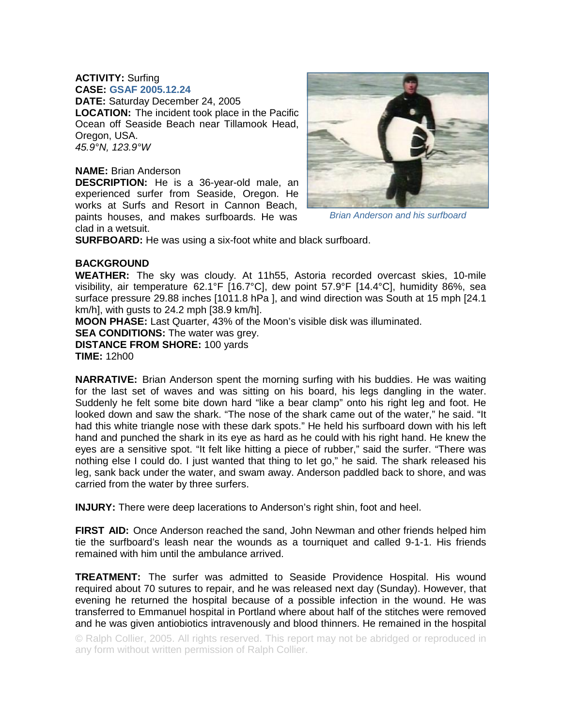## **ACTIVITY:** Surfing **CASE: GSAF 2005.12.24**

**DATE:** Saturday December 24, 2005 **LOCATION:** The incident took place in the Pacific Ocean off Seaside Beach near Tillamook Head, Oregon, USA. *45.9°N, 123.9°W* 

## **NAME:** Brian Anderson

**DESCRIPTION:** He is a 36-year-old male, an experienced surfer from Seaside, Oregon. He works at Surfs and Resort in Cannon Beach, paints houses, and makes surfboards. He was clad in a wetsuit.



*Brian Anderson and his surfboard* 

**SURFBOARD:** He was using a six-foot white and black surfboard.

## **BACKGROUND**

**WEATHER:** The sky was cloudy. At 11h55, Astoria recorded overcast skies, 10-mile visibility, air temperature 62.1°F [16.7°C], dew point 57.9°F [14.4°C], humidity 86%, sea surface pressure 29.88 inches [1011.8 hPa ], and wind direction was South at 15 mph [24.1 km/h], with gusts to 24.2 mph [38.9 km/h].

**MOON PHASE:** Last Quarter, 43% of the Moon's visible disk was illuminated.

**SEA CONDITIONS:** The water was grey.

**DISTANCE FROM SHORE:** 100 yards

**TIME:** 12h00

**NARRATIVE:** Brian Anderson spent the morning surfing with his buddies. He was waiting for the last set of waves and was sitting on his board, his legs dangling in the water. Suddenly he felt some bite down hard "like a bear clamp" onto his right leg and foot. He looked down and saw the shark. "The nose of the shark came out of the water," he said. "It had this white triangle nose with these dark spots." He held his surfboard down with his left hand and punched the shark in its eye as hard as he could with his right hand. He knew the eyes are a sensitive spot. "It felt like hitting a piece of rubber," said the surfer. "There was nothing else I could do. I just wanted that thing to let go," he said. The shark released his leg, sank back under the water, and swam away. Anderson paddled back to shore, and was carried from the water by three surfers.

**INJURY:** There were deep lacerations to Anderson's right shin, foot and heel.

**FIRST AID:** Once Anderson reached the sand, John Newman and other friends helped him tie the surfboard's leash near the wounds as a tourniquet and called 9-1-1. His friends remained with him until the ambulance arrived.

**TREATMENT:** The surfer was admitted to Seaside Providence Hospital. His wound required about 70 sutures to repair, and he was released next day (Sunday). However, that evening he returned the hospital because of a possible infection in the wound. He was transferred to Emmanuel hospital in Portland where about half of the stitches were removed and he was given antiobiotics intravenously and blood thinners. He remained in the hospital

© Ralph Collier, 2005. All rights reserved. This report may not be abridged or reproduced in any form without written permission of Ralph Collier.